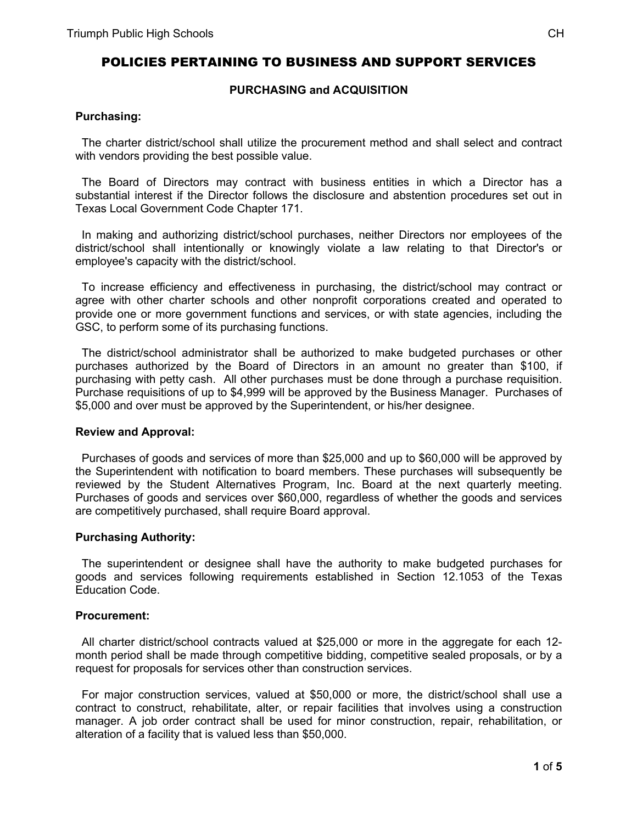# POLICIES PERTAINING TO BUSINESS AND SUPPORT SERVICES

# **PURCHASING and ACQUISITION**

### **Purchasing:**

 The charter district/school shall utilize the procurement method and shall select and contract with vendors providing the best possible value.

 The Board of Directors may contract with business entities in which a Director has a substantial interest if the Director follows the disclosure and abstention procedures set out in Texas Local Government Code Chapter 171.

 In making and authorizing district/school purchases, neither Directors nor employees of the district/school shall intentionally or knowingly violate a law relating to that Director's or employee's capacity with the district/school.

 To increase efficiency and effectiveness in purchasing, the district/school may contract or agree with other charter schools and other nonprofit corporations created and operated to provide one or more government functions and services, or with state agencies, including the GSC, to perform some of its purchasing functions.

 The district/school administrator shall be authorized to make budgeted purchases or other purchases authorized by the Board of Directors in an amount no greater than \$100, if purchasing with petty cash. All other purchases must be done through a purchase requisition. Purchase requisitions of up to \$4,999 will be approved by the Business Manager. Purchases of \$5,000 and over must be approved by the Superintendent, or his/her designee.

### **Review and Approval:**

 Purchases of goods and services of more than \$25,000 and up to \$60,000 will be approved by the Superintendent with notification to board members. These purchases will subsequently be reviewed by the Student Alternatives Program, Inc. Board at the next quarterly meeting. Purchases of goods and services over \$60,000, regardless of whether the goods and services are competitively purchased, shall require Board approval.

### **Purchasing Authority:**

 The superintendent or designee shall have the authority to make budgeted purchases for goods and services following requirements established in Section 12.1053 of the Texas Education Code.

### **Procurement:**

 All charter district/school contracts valued at \$25,000 or more in the aggregate for each 12 month period shall be made through competitive bidding, competitive sealed proposals, or by a request for proposals for services other than construction services.

 For major construction services, valued at \$50,000 or more, the district/school shall use a contract to construct, rehabilitate, alter, or repair facilities that involves using a construction manager. A job order contract shall be used for minor construction, repair, rehabilitation, or alteration of a facility that is valued less than \$50,000.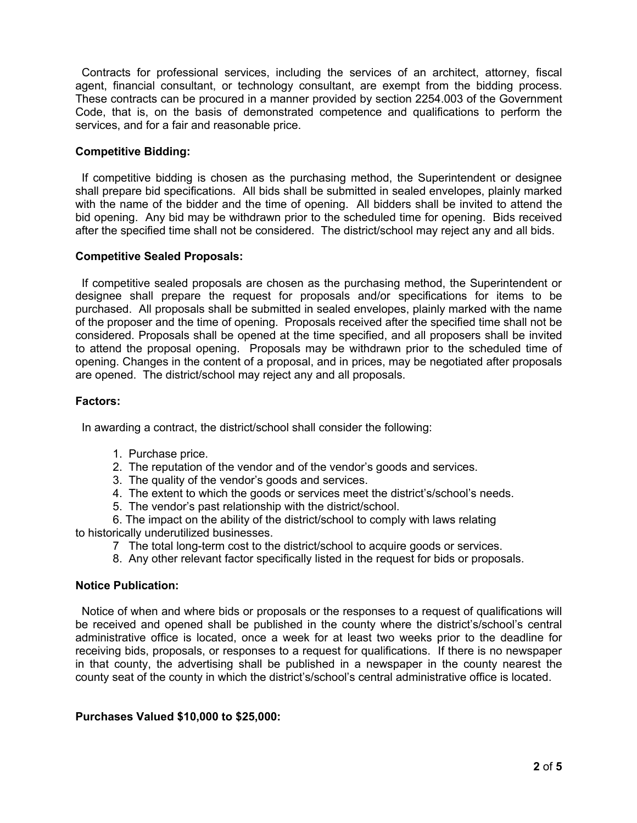Contracts for professional services, including the services of an architect, attorney, fiscal agent, financial consultant, or technology consultant, are exempt from the bidding process. These contracts can be procured in a manner provided by section 2254.003 of the Government Code, that is, on the basis of demonstrated competence and qualifications to perform the services, and for a fair and reasonable price.

# **Competitive Bidding:**

 If competitive bidding is chosen as the purchasing method, the Superintendent or designee shall prepare bid specifications. All bids shall be submitted in sealed envelopes, plainly marked with the name of the bidder and the time of opening. All bidders shall be invited to attend the bid opening. Any bid may be withdrawn prior to the scheduled time for opening. Bids received after the specified time shall not be considered. The district/school may reject any and all bids.

# **Competitive Sealed Proposals:**

 If competitive sealed proposals are chosen as the purchasing method, the Superintendent or designee shall prepare the request for proposals and/or specifications for items to be purchased. All proposals shall be submitted in sealed envelopes, plainly marked with the name of the proposer and the time of opening. Proposals received after the specified time shall not be considered. Proposals shall be opened at the time specified, and all proposers shall be invited to attend the proposal opening. Proposals may be withdrawn prior to the scheduled time of opening. Changes in the content of a proposal, and in prices, may be negotiated after proposals are opened. The district/school may reject any and all proposals.

# **Factors:**

In awarding a contract, the district/school shall consider the following:

- 1. Purchase price.
- 2. The reputation of the vendor and of the vendor's goods and services.
- 3. The quality of the vendor's goods and services.
- 4. The extent to which the goods or services meet the district's/school's needs.
- 5. The vendor's past relationship with the district/school.

6. The impact on the ability of the district/school to comply with laws relating to historically underutilized businesses.

- 7 The total long-term cost to the district/school to acquire goods or services.
- 8. Any other relevant factor specifically listed in the request for bids or proposals.

# **Notice Publication:**

 Notice of when and where bids or proposals or the responses to a request of qualifications will be received and opened shall be published in the county where the district's/school's central administrative office is located, once a week for at least two weeks prior to the deadline for receiving bids, proposals, or responses to a request for qualifications. If there is no newspaper in that county, the advertising shall be published in a newspaper in the county nearest the county seat of the county in which the district's/school's central administrative office is located.

# **Purchases Valued \$10,000 to \$25,000:**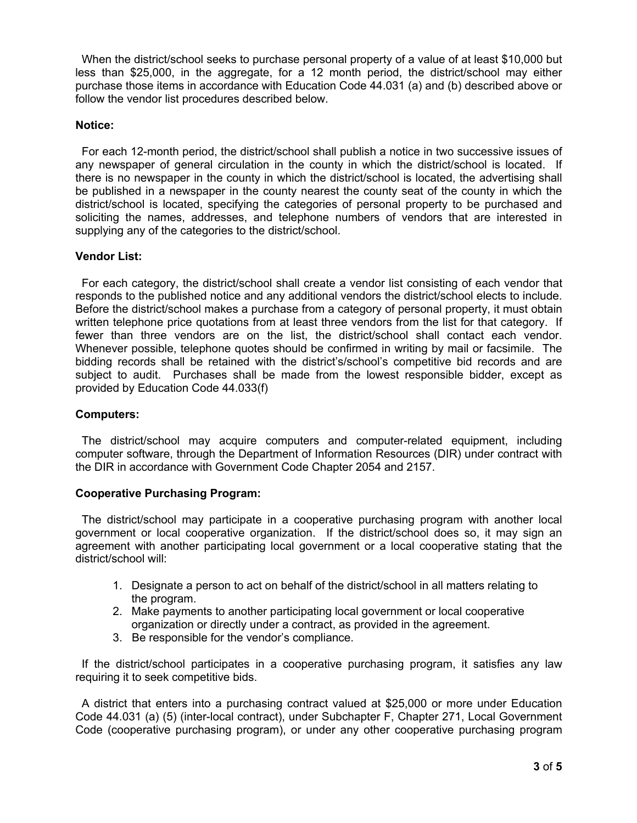When the district/school seeks to purchase personal property of a value of at least \$10,000 but less than \$25,000, in the aggregate, for a 12 month period, the district/school may either purchase those items in accordance with Education Code 44.031 (a) and (b) described above or follow the vendor list procedures described below.

# **Notice:**

 For each 12-month period, the district/school shall publish a notice in two successive issues of any newspaper of general circulation in the county in which the district/school is located. If there is no newspaper in the county in which the district/school is located, the advertising shall be published in a newspaper in the county nearest the county seat of the county in which the district/school is located, specifying the categories of personal property to be purchased and soliciting the names, addresses, and telephone numbers of vendors that are interested in supplying any of the categories to the district/school.

# **Vendor List:**

 For each category, the district/school shall create a vendor list consisting of each vendor that responds to the published notice and any additional vendors the district/school elects to include. Before the district/school makes a purchase from a category of personal property, it must obtain written telephone price quotations from at least three vendors from the list for that category. If fewer than three vendors are on the list, the district/school shall contact each vendor. Whenever possible, telephone quotes should be confirmed in writing by mail or facsimile. The bidding records shall be retained with the district's/school's competitive bid records and are subject to audit. Purchases shall be made from the lowest responsible bidder, except as provided by Education Code 44.033(f)

### **Computers:**

 The district/school may acquire computers and computer-related equipment, including computer software, through the Department of Information Resources (DIR) under contract with the DIR in accordance with Government Code Chapter 2054 and 2157.

### **Cooperative Purchasing Program:**

 The district/school may participate in a cooperative purchasing program with another local government or local cooperative organization. If the district/school does so, it may sign an agreement with another participating local government or a local cooperative stating that the district/school will:

- 1. Designate a person to act on behalf of the district/school in all matters relating to the program.
- 2. Make payments to another participating local government or local cooperative organization or directly under a contract, as provided in the agreement.
- 3. Be responsible for the vendor's compliance.

 If the district/school participates in a cooperative purchasing program, it satisfies any law requiring it to seek competitive bids.

 A district that enters into a purchasing contract valued at \$25,000 or more under Education Code 44.031 (a) (5) (inter-local contract), under Subchapter F, Chapter 271, Local Government Code (cooperative purchasing program), or under any other cooperative purchasing program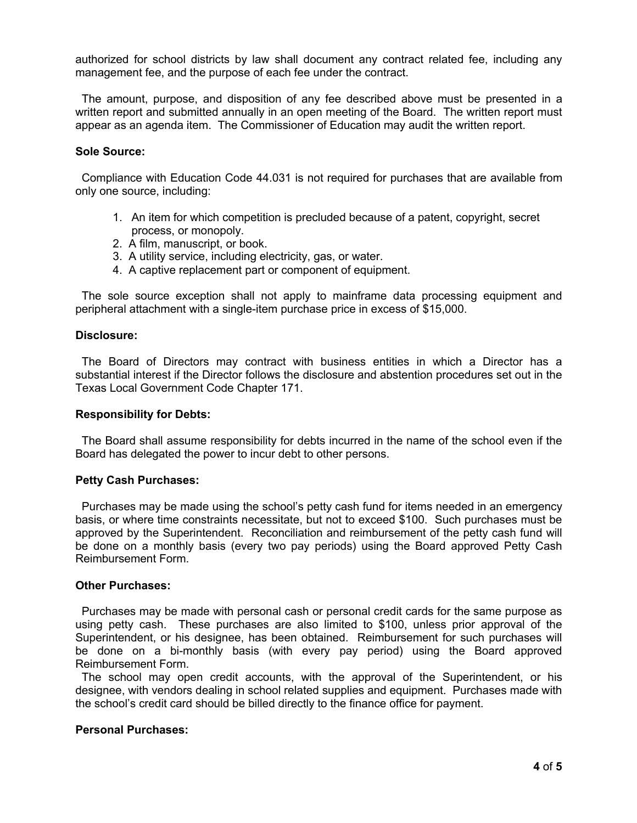authorized for school districts by law shall document any contract related fee, including any management fee, and the purpose of each fee under the contract.

 The amount, purpose, and disposition of any fee described above must be presented in a written report and submitted annually in an open meeting of the Board. The written report must appear as an agenda item. The Commissioner of Education may audit the written report.

#### **Sole Source:**

 Compliance with Education Code 44.031 is not required for purchases that are available from only one source, including:

- 1. An item for which competition is precluded because of a patent, copyright, secret process, or monopoly.
- 2. A film, manuscript, or book.
- 3. A utility service, including electricity, gas, or water.
- 4. A captive replacement part or component of equipment.

 The sole source exception shall not apply to mainframe data processing equipment and peripheral attachment with a single-item purchase price in excess of \$15,000.

#### **Disclosure:**

 The Board of Directors may contract with business entities in which a Director has a substantial interest if the Director follows the disclosure and abstention procedures set out in the Texas Local Government Code Chapter 171.

#### **Responsibility for Debts:**

 The Board shall assume responsibility for debts incurred in the name of the school even if the Board has delegated the power to incur debt to other persons.

#### **Petty Cash Purchases:**

 Purchases may be made using the school's petty cash fund for items needed in an emergency basis, or where time constraints necessitate, but not to exceed \$100. Such purchases must be approved by the Superintendent. Reconciliation and reimbursement of the petty cash fund will be done on a monthly basis (every two pay periods) using the Board approved Petty Cash Reimbursement Form.

#### **Other Purchases:**

 Purchases may be made with personal cash or personal credit cards for the same purpose as using petty cash. These purchases are also limited to \$100, unless prior approval of the Superintendent, or his designee, has been obtained. Reimbursement for such purchases will be done on a bi-monthly basis (with every pay period) using the Board approved Reimbursement Form.

 The school may open credit accounts, with the approval of the Superintendent, or his designee, with vendors dealing in school related supplies and equipment. Purchases made with the school's credit card should be billed directly to the finance office for payment.

#### **Personal Purchases:**